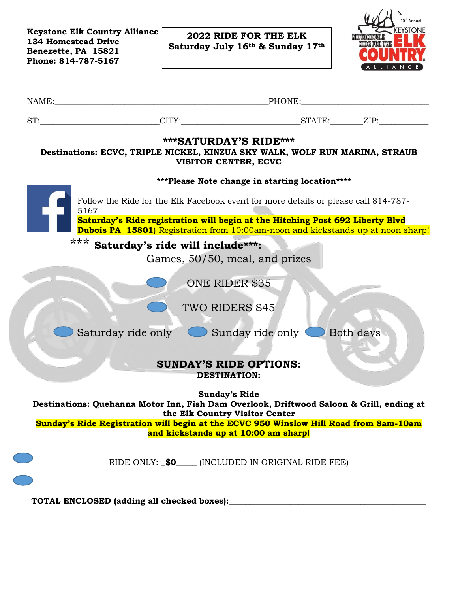**Keystone Elk Country Alliance 134 Homestead Drive Benezette, PA 15821 Phone: 814-787-5167**

C

C

**2022 RIDE FOR THE ELK Saturday July 16th & Sunday 17th**



| ST: ___________________________CITY: ____________________________STATE: ________ZIP: ______________                                                                       |                                                        |                                                      |           |  |
|---------------------------------------------------------------------------------------------------------------------------------------------------------------------------|--------------------------------------------------------|------------------------------------------------------|-----------|--|
| Destinations: ECVC, TRIPLE NICKEL, KINZUA SKY WALK, WOLF RUN MARINA, STRAUB                                                                                               | <b>***SATURDAY'S RIDE***</b><br>VISITOR CENTER, ECVC   |                                                      |           |  |
|                                                                                                                                                                           |                                                        | ***Please Note change in starting location****       |           |  |
| Follow the Ride for the Elk Facebook event for more details or please call 814-787-<br>5167.                                                                              |                                                        |                                                      |           |  |
| Saturday's Ride registration will begin at the Hitching Post 692 Liberty Blvd<br><b>Dubois PA 15801</b> ) Registration from 10:00am-noon and kickstands up at noon sharp! |                                                        |                                                      |           |  |
| *** Saturday's ride will include***:                                                                                                                                      |                                                        |                                                      |           |  |
|                                                                                                                                                                           | Games, 50/50, meal, and prizes                         |                                                      |           |  |
|                                                                                                                                                                           | ONE RIDER \$35                                         |                                                      |           |  |
|                                                                                                                                                                           | TWO RIDERS \$45                                        |                                                      |           |  |
| Saturday ride only Sunday ride only                                                                                                                                       |                                                        |                                                      | Both days |  |
|                                                                                                                                                                           | <b>SUNDAY'S RIDE OPTIONS:</b><br><b>DESTINATION:</b>   |                                                      |           |  |
| Destinations: Quehanna Motor Inn, Fish Dam Overlook, Driftwood Saloon & Grill, ending at                                                                                  | <b>Sunday's Ride</b><br>the Elk Country Visitor Center |                                                      |           |  |
| Sunday's Ride Registration will begin at the ECVC 950 Winslow Hill Road from 8am-10am                                                                                     | and kickstands up at 10:00 am sharp!                   |                                                      |           |  |
|                                                                                                                                                                           |                                                        |                                                      |           |  |
|                                                                                                                                                                           |                                                        | RIDE ONLY: _\$0_____ (INCLUDED IN ORIGINAL RIDE FEE) |           |  |
|                                                                                                                                                                           |                                                        |                                                      |           |  |
|                                                                                                                                                                           |                                                        |                                                      |           |  |
|                                                                                                                                                                           |                                                        |                                                      |           |  |
|                                                                                                                                                                           |                                                        |                                                      |           |  |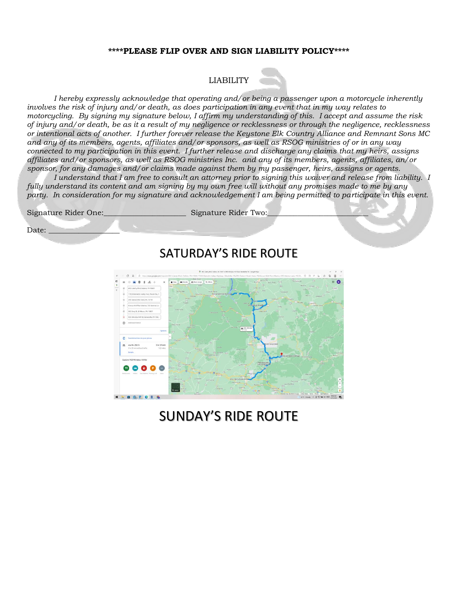## **\*\*\*\*PLEASE FLIP OVER AND SIGN LIABILITY POLICY\*\*\*\***

## LIABILITY

*I hereby expressly acknowledge that operating and/or being a passenger upon a motorcycle inherently involves the risk of injury and/or death, as does participation in any event that in my way relates to motorcycling. By signing my signature below, I affirm my understanding of this. I accept and assume the risk of injury and/or death, be as it a result of my negligence or recklessness or through the negligence, recklessness or intentional acts of another. I further forever release the Keystone Elk Country Alliance and Remnant Sons MC and any of its members, agents, affiliates and/or sponsors, as well as RSOG ministries of or in any way connected to my participation in this event. I further release and discharge any claims that my heirs, assigns affiliates and/or sponsors, as well as RSOG ministries Inc. and any of its members, agents, affiliates, an/or sponsor, for any damages and/or claims made against them by my passenger, heirs, assigns or agents.*

*I understand that I am free to consult an attorney prior to signing this waiver and release from liability. I fully understand its content and am signing by my own free will without any promises made to me by any party. In consideration for my signature and acknowledgement I am being permitted to participate in this event.*



. . . . . . . .

## SUNDAY'S RIDE ROUTE